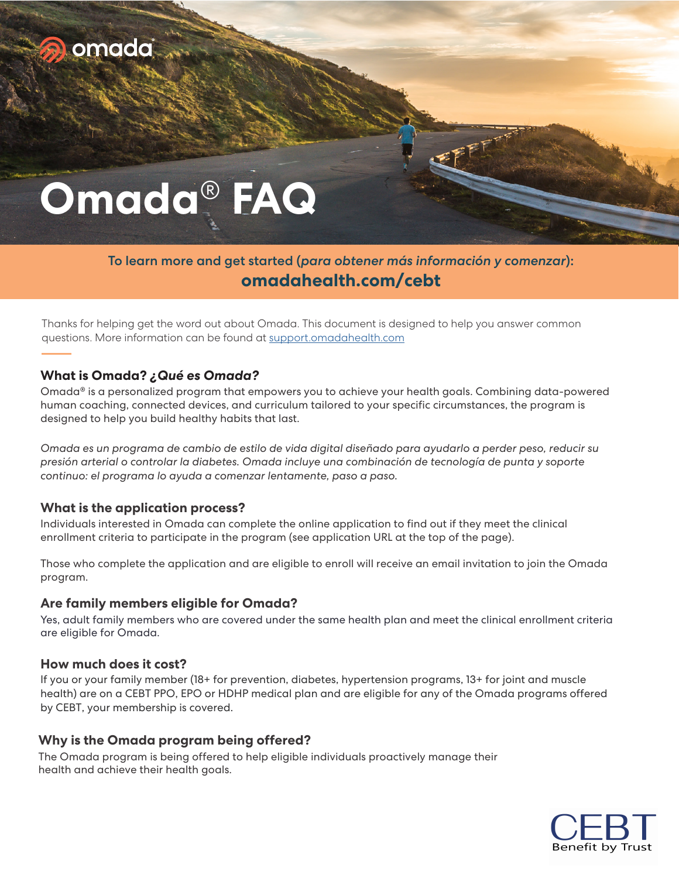

# **Omada**® **FAQ**

# To learn more and get started (*para obtener más información y comenzar*): **omadahealth.com/cebt**

Thanks for helping get the word out about Omada. This document is designed to help you answer common questions. More information can be found at support.omadahealth.com

# **What is Omada?** *¿Qué es Omada?*

Omada® is a personalized program that empowers you to achieve your health goals. Combining data-powered human coaching, connected devices, and curriculum tailored to your specific circumstances, the program is designed to help you build healthy habits that last.

*Omada es un programa de cambio de estilo de vida digital diseñado para ayudarlo a perder peso, reducir su presión arterial o controlar la diabetes. Omada incluye una combinación de tecnología de punta y soporte continuo: el programa lo ayuda a comenzar lentamente, paso a paso.*

### **What is the application process?**

Individuals interested in Omada can complete the online application to find out if they meet the clinical enrollment criteria to participate in the program (see application URL at the top of the page).

Those who complete the application and are eligible to enroll will receive an email invitation to join the Omada program.

#### **Are family members eligible for Omada?**

Yes, adult family members who are covered under the same health plan and meet the clinical enrollment criteria are eligible for Omada.

#### **How much does it cost?**

If you or your family member (18+ for prevention, diabetes, hypertension programs, 13+ for joint and muscle health) are on a CEBT PPO, EPO or HDHP medical plan and are eligible for any of the Omada programs offered by CEBT, your membership is covered.

#### **Why is the Omada program being offered?**

The Omada program is being offered to help eligible individuals proactively manage their health and achieve their health goals.

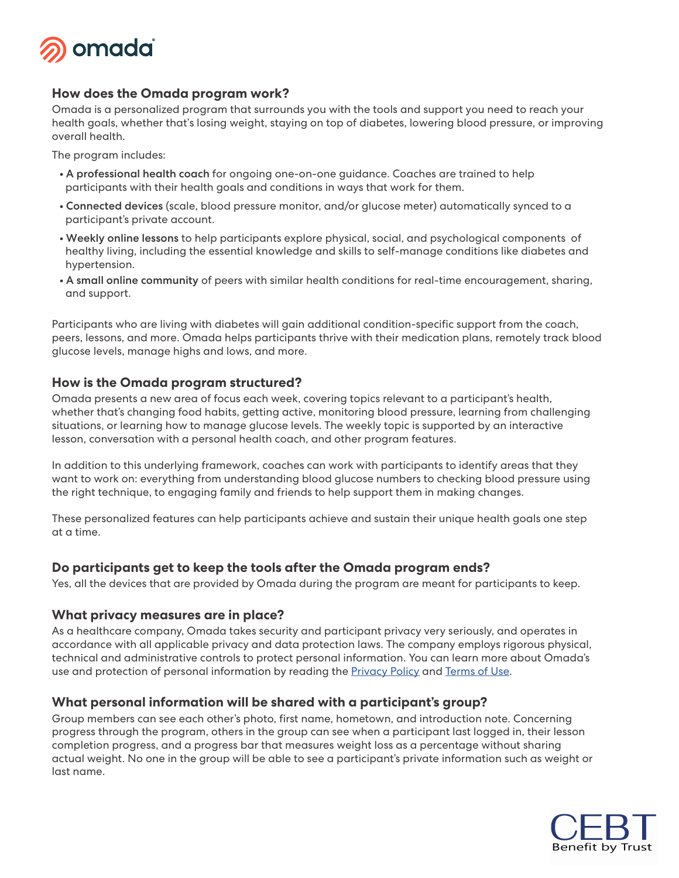

# **How does the Omada program work?**

Omada is a personalized program that surrounds you with the tools and support you need to reach your health goals, whether that's losing weight, staying on top of diabetes, lowering blood pressure, or improving overall health.

The program includes:

- **•** A professional health coach for ongoing one-on-one guidance. Coaches are trained to help participants with their health goals and conditions in ways that work for them.
- **•** Connected devices (scale, blood pressure monitor, and/or glucose meter) automatically synced to a participant's private account.
- **•** Weekly online lessons to help participants explore physical, social, and psychological components of healthy living, including the essential knowledge and skills to self-manage conditions like diabetes and hypertension.
- **•** A small online community of peers with similar health conditions for real-time encouragement, sharing, and support.

Participants who are living with diabetes will gain additional condition-specific support from the coach, peers, lessons, and more. Omada helps participants thrive with their medication plans, remotely track blood glucose levels, manage highs and lows, and more.

### **How is the Omada program structured?**

Omada presents a new area of focus each week, covering topics relevant to a participant's health, whether that's changing food habits, getting active, monitoring blood pressure, learning from challenging situations, or learning how to manage glucose levels. The weekly topic is supported by an interactive lesson, conversation with a personal health coach, and other program features.

In addition to this underlying framework, coaches can work with participants to identify areas that they want to work on: everything from understanding blood glucose numbers to checking blood pressure using the right technique, to engaging family and friends to help support them in making changes.

These personalized features can help participants achieve and sustain their unique health goals one step at a time.

### **Do participants get to keep the tools after the Omada program ends?**

Yes, all the devices that are provided by Omada during the program are meant for participants to keep.

### **What privacy measures are in place?**

As a healthcare company, Omada takes security and participant privacy very seriously, and operates in accordance with all applicable privacy and data protection laws. The company employs rigorous physical, technical and administrative controls to protect personal information. You can learn more about Omada's use and protection of personal information by reading the Privacy Policy and Terms of Use.

### **What personal information will be shared with a participant's group?**

Group members can see each other's photo, first name, hometown, and introduction note. Concerning progress through the program, others in the group can see when a participant last logged in, their lesson completion progress, and a progress bar that measures weight loss as a percentage without sharing actual weight. No one in the group will be able to see a participant's private information such as weight or last name.